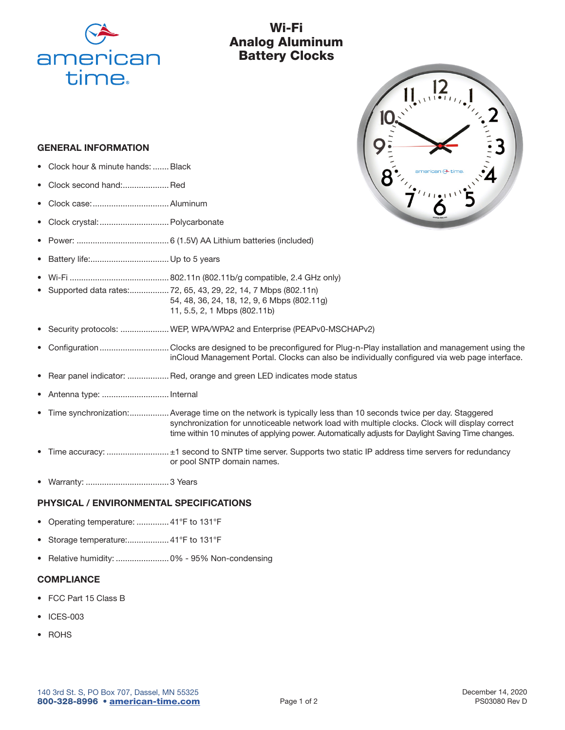

# Wi-Fi Analog Aluminum Battery Clocks

 $\prod_{n=1}^{\infty} \prod_{i=1}^{n}$ 

#### GENERAL INFORMATION

- Clock hour & minute hands: ....... Black
- Clock second hand:....................Red
- Clock case:.................................Aluminum
- Clock crystal:..............................Polycarbonate
- Power: ........................................ 6 (1.5V) AA Lithium batteries (included)
- Battery life:.................................. Up to 5 years
- Wi-Fi ........................................... 802.11n (802.11b/g compatible, 2.4 GHz only)
- Supported data rates:................. 72, 65, 43, 29, 22, 14, 7 Mbps (802.11n) 54, 48, 36, 24, 18, 12, 9, 6 Mbps (802.11g) 11, 5.5, 2, 1 Mbps (802.11b)
- Security protocols: .....................WEP, WPA/WPA2 and Enterprise (PEAPv0-MSCHAPv2)
- Configuration .............................. Clocks are designed to be preconfigured for Plug-n-Play installation and management using the inCloud Management Portal. Clocks can also be individually configured via web page interface.
- Rear panel indicator: .................. Red, orange and green LED indicates mode status
- Antenna type: ............................. Internal
- Time synchronization:.................Average time on the network is typically less than 10 seconds twice per day. Staggered synchronization for unnoticeable network load with multiple clocks. Clock will display correct time within 10 minutes of applying power. Automatically adjusts for Daylight Saving Time changes.
- Time accuracy: ............................ ±1 second to SNTP time server. Supports two static IP address time servers for redundancy or pool SNTP domain names.
- Warranty: .................................... 3 Years

### PHYSICAL / ENVIRONMENTAL SPECIFICATIONS

- Operating temperature: .............. 41°F to 131°F
- Storage temperature:.................. 41°F to 131°F
- Relative humidity: ....................... 0% 95% Non-condensing

#### **COMPLIANCE**

- FCC Part 15 Class B
- ICES-003
- **ROHS**